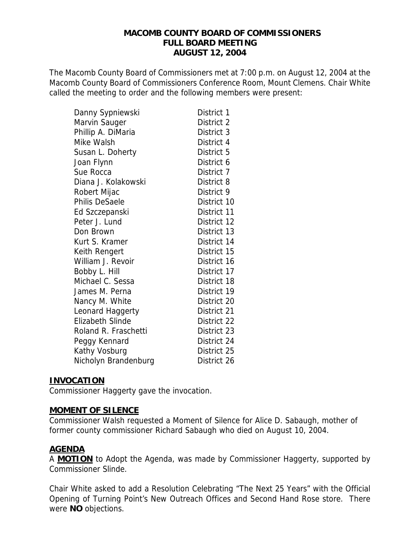#### **MACOMB COUNTY BOARD OF COMMISSIONERS FULL BOARD MEETING AUGUST 12, 2004**

The Macomb County Board of Commissioners met at 7:00 p.m. on August 12, 2004 at the Macomb County Board of Commissioners Conference Room, Mount Clemens. Chair White called the meeting to order and the following members were present:

| Danny Sypniewski        | District 1  |
|-------------------------|-------------|
| Marvin Sauger           | District 2  |
| Phillip A. DiMaria      | District 3  |
| Mike Walsh              | District 4  |
| Susan L. Doherty        | District 5  |
| Joan Flynn              | District 6  |
| Sue Rocca               | District 7  |
| Diana J. Kolakowski     | District 8  |
| Robert Mijac            | District 9  |
| Philis DeSaele          | District 10 |
| Ed Szczepanski          | District 11 |
| Peter J. Lund           | District 12 |
| Don Brown               | District 13 |
| Kurt S. Kramer          | District 14 |
| Keith Rengert           | District 15 |
| William J. Revoir       | District 16 |
| Bobby L. Hill           | District 17 |
| Michael C. Sessa        | District 18 |
| James M. Perna          | District 19 |
| Nancy M. White          | District 20 |
| Leonard Haggerty        | District 21 |
| <b>Elizabeth Slinde</b> | District 22 |
| Roland R. Fraschetti    | District 23 |
| Peggy Kennard           | District 24 |
| Kathy Vosburg           | District 25 |
| Nicholyn Brandenburg    | District 26 |

### **INVOCATION**

Commissioner Haggerty gave the invocation.

### **MOMENT OF SILENCE**

Commissioner Walsh requested a Moment of Silence for Alice D. Sabaugh, mother of former county commissioner Richard Sabaugh who died on August 10, 2004.

### **AGENDA**

A **MOTION** to Adopt the Agenda, was made by Commissioner Haggerty, supported by Commissioner Slinde.

Chair White asked to add a Resolution Celebrating "The Next 25 Years" with the Official Opening of Turning Point's New Outreach Offices and Second Hand Rose store. There were **NO** objections.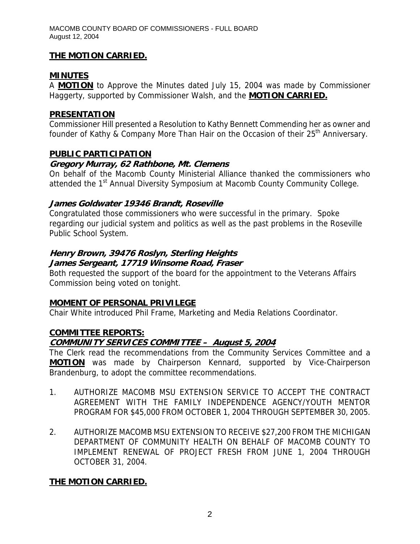### **THE MOTION CARRIED.**

### **MINUTES**

A **MOTION** to Approve the Minutes dated July 15, 2004 was made by Commissioner Haggerty, supported by Commissioner Walsh, and the **MOTION CARRIED.**

### **PRESENTATION**

Commissioner Hill presented a Resolution to Kathy Bennett Commending her as owner and founder of Kathy & Company More Than Hair on the Occasion of their 25<sup>th</sup> Anniversary.

#### **PUBLIC PARTICIPATION**

### **Gregory Murray, 62 Rathbone, Mt. Clemens**

On behalf of the Macomb County Ministerial Alliance thanked the commissioners who attended the 1<sup>st</sup> Annual Diversity Symposium at Macomb County Community College.

### **James Goldwater 19346 Brandt, Roseville**

Congratulated those commissioners who were successful in the primary. Spoke regarding our judicial system and politics as well as the past problems in the Roseville Public School System.

### **Henry Brown, 39476 Roslyn, Sterling Heights**

#### **James Sergeant, 17719 Winsome Road, Fraser**

Both requested the support of the board for the appointment to the Veterans Affairs Commission being voted on tonight.

### **MOMENT OF PERSONAL PRIVILEGE**

Chair White introduced Phil Frame, Marketing and Media Relations Coordinator.

### **COMMITTEE REPORTS:**

### **COMMUNITY SERVICES COMMITTEE – August 5, 2004**

The Clerk read the recommendations from the Community Services Committee and a **MOTION** was made by Chairperson Kennard, supported by Vice-Chairperson Brandenburg, to adopt the committee recommendations.

- 1. AUTHORIZE MACOMB MSU EXTENSION SERVICE TO ACCEPT THE CONTRACT AGREEMENT WITH THE FAMILY INDEPENDENCE AGENCY/YOUTH MENTOR PROGRAM FOR \$45,000 FROM OCTOBER 1, 2004 THROUGH SEPTEMBER 30, 2005.
- 2. AUTHORIZE MACOMB MSU EXTENSION TO RECEIVE \$27,200 FROM THE MICHIGAN DEPARTMENT OF COMMUNITY HEALTH ON BEHALF OF MACOMB COUNTY TO IMPLEMENT RENEWAL OF PROJECT FRESH FROM JUNE 1, 2004 THROUGH OCTOBER 31, 2004.

### **THE MOTION CARRIED.**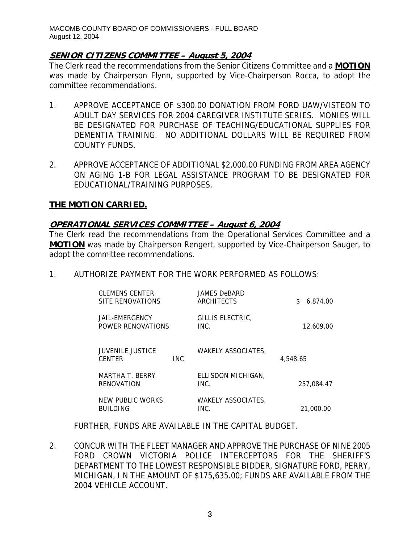### **SENIOR CITIZENS COMMITTEE – August 5, 2004**

The Clerk read the recommendations from the Senior Citizens Committee and a **MOTION** was made by Chairperson Flynn, supported by Vice-Chairperson Rocca, to adopt the committee recommendations.

- 1. APPROVE ACCEPTANCE OF \$300.00 DONATION FROM FORD UAW/VISTEON TO ADULT DAY SERVICES FOR 2004 CAREGIVER INSTITUTE SERIES. MONIES WILL BE DESIGNATED FOR PURCHASE OF TEACHING/EDUCATIONAL SUPPLIES FOR DEMENTIA TRAINING. NO ADDITIONAL DOLLARS WILL BE REQUIRED FROM COUNTY FUNDS.
- 2. APPROVE ACCEPTANCE OF ADDITIONAL \$2,000.00 FUNDING FROM AREA AGENCY ON AGING 1-B FOR LEGAL ASSISTANCE PROGRAM TO BE DESIGNATED FOR EDUCATIONAL/TRAINING PURPOSES.

### **THE MOTION CARRIED.**

### **OPERATIONAL SERVICES COMMITTEE – August 6, 2004**

The Clerk read the recommendations from the Operational Services Committee and a **MOTION** was made by Chairperson Rengert, supported by Vice-Chairperson Sauger, to adopt the committee recommendations.

1. AUTHORIZE PAYMENT FOR THE WORK PERFORMED AS FOLLOWS:

| <b>CLEMENS CENTER</b><br>SITE RENOVATIONS   |      | <b>JAMES DeBARD</b><br>ARCHITECTS | 6.874.00<br>\$ |
|---------------------------------------------|------|-----------------------------------|----------------|
| JAIL-EMERGENCY<br>POWER RENOVATIONS         |      | GILLIS ELECTRIC,<br>INC.          | 12,609.00      |
| <b>JUVENILE JUSTICE</b><br><b>CENTER</b>    | INC. | <b>WAKELY ASSOCIATES.</b>         | 4,548.65       |
| <b>MARTHA T. BERRY</b><br><b>RENOVATION</b> |      | ELLISDON MICHIGAN.<br>INC.        | 257,084.47     |
| NEW PUBLIC WORKS<br><b>BUILDING</b>         |      | <b>WAKELY ASSOCIATES,</b><br>INC. | 21,000.00      |

FURTHER, FUNDS ARE AVAILABLE IN THE CAPITAL BUDGET.

2. CONCUR WITH THE FLEET MANAGER AND APPROVE THE PURCHASE OF NINE 2005 FORD CROWN VICTORIA POLICE INTERCEPTORS FOR THE SHERIFF'S DEPARTMENT TO THE LOWEST RESPONSIBLE BIDDER, SIGNATURE FORD, PERRY, MICHIGAN, I N THE AMOUNT OF \$175,635.00; FUNDS ARE AVAILABLE FROM THE 2004 VEHICLE ACCOUNT.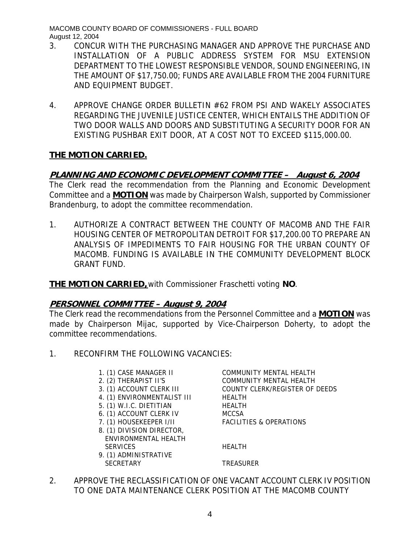- 3. CONCUR WITH THE PURCHASING MANAGER AND APPROVE THE PURCHASE AND INSTALLATION OF A PUBLIC ADDRESS SYSTEM FOR MSU EXTENSION DEPARTMENT TO THE LOWEST RESPONSIBLE VENDOR, SOUND ENGINEERING, IN THE AMOUNT OF \$17,750.00; FUNDS ARE AVAILABLE FROM THE 2004 FURNITURE AND EQUIPMENT BUDGET.
- 4. APPROVE CHANGE ORDER BULLETIN #62 FROM PSI AND WAKELY ASSOCIATES REGARDING THE JUVENILE JUSTICE CENTER, WHICH ENTAILS THE ADDITION OF TWO DOOR WALLS AND DOORS AND SUBSTITUTING A SECURITY DOOR FOR AN EXISTING PUSHBAR EXIT DOOR, AT A COST NOT TO EXCEED \$115,000.00.

### **THE MOTION CARRIED.**

## **PLANNING AND ECONOMIC DEVELOPMENT COMMITTEE – August 6, 2004**

The Clerk read the recommendation from the Planning and Economic Development Committee and a **MOTION** was made by Chairperson Walsh, supported by Commissioner Brandenburg, to adopt the committee recommendation.

1. AUTHORIZE A CONTRACT BETWEEN THE COUNTY OF MACOMB AND THE FAIR HOUSING CENTER OF METROPOLITAN DETROIT FOR \$17,200.00 TO PREPARE AN ANALYSIS OF IMPEDIMENTS TO FAIR HOUSING FOR THE URBAN COUNTY OF MACOMB. FUNDING IS AVAILABLE IN THE COMMUNITY DEVELOPMENT BLOCK GRANT FUND.

**THE MOTION CARRIED,** with Commissioner Fraschetti voting **NO**.

### **PERSONNEL COMMITTEE – August 9, 2004**

The Clerk read the recommendations from the Personnel Committee and a **MOTION** was made by Chairperson Mijac, supported by Vice-Chairperson Doherty, to adopt the committee recommendations.

1. RECONFIRM THE FOLLOWING VACANCIES:

| 1. (1) CASE MANAGER II      | COMMUNITY MENTAL HEALTH            |
|-----------------------------|------------------------------------|
| 2. (2) THERAPIST II'S       | COMMUNITY MENTAL HEALTH            |
| 3. (1) ACCOUNT CLERK III    | COUNTY CLERK/REGISTER OF DEEDS     |
| 4. (1) ENVIRONMENTALIST III | <b>HEALTH</b>                      |
| 5. (1) W.I.C. DIETITIAN     | <b>HEALTH</b>                      |
| 6. (1) ACCOUNT CLERK IV     | <b>MCCSA</b>                       |
| 7. (1) HOUSEKEEPER I/II     | <b>FACILITIES &amp; OPERATIONS</b> |
| 8. (1) DIVISION DIRECTOR,   |                                    |
| ENVIRONMENTAL HEALTH        |                                    |
| <b>SERVICES</b>             | <b>HFAITH</b>                      |
| 9. (1) ADMINISTRATIVE       |                                    |
| <b>SECRETARY</b>            | <b>TREASURER</b>                   |
|                             |                                    |

2. APPROVE THE RECLASSIFICATION OF ONE VACANT ACCOUNT CLERK IV POSITION TO ONE DATA MAINTENANCE CLERK POSITION AT THE MACOMB COUNTY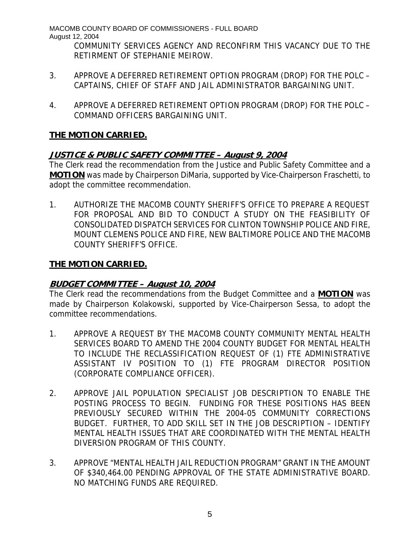COMMUNITY SERVICES AGENCY AND RECONFIRM THIS VACANCY DUE TO THE RETIRMENT OF STEPHANIE MEIROW.

- 3. APPROVE A DEFERRED RETIREMENT OPTION PROGRAM (DROP) FOR THE POLC CAPTAINS, CHIEF OF STAFF AND JAIL ADMINISTRATOR BARGAINING UNIT.
- 4. APPROVE A DEFERRED RETIREMENT OPTION PROGRAM (DROP) FOR THE POLC COMMAND OFFICERS BARGAINING UNIT.

# **THE MOTION CARRIED.**

# **JUSTICE & PUBLIC SAFETY COMMITTEE – August 9, 2004**

The Clerk read the recommendation from the Justice and Public Safety Committee and a **MOTION** was made by Chairperson DiMaria, supported by Vice-Chairperson Fraschetti, to adopt the committee recommendation.

1. AUTHORIZE THE MACOMB COUNTY SHERIFF'S OFFICE TO PREPARE A REQUEST FOR PROPOSAL AND BID TO CONDUCT A STUDY ON THE FEASIBILITY OF CONSOLIDATED DISPATCH SERVICES FOR CLINTON TOWNSHIP POLICE AND FIRE, MOUNT CLEMENS POLICE AND FIRE, NEW BALTIMORE POLICE AND THE MACOMB COUNTY SHERIFF'S OFFICE.

## **THE MOTION CARRIED.**

# **BUDGET COMMITTEE – August 10, 2004**

The Clerk read the recommendations from the Budget Committee and a **MOTION** was made by Chairperson Kolakowski, supported by Vice-Chairperson Sessa, to adopt the committee recommendations.

- 1. APPROVE A REQUEST BY THE MACOMB COUNTY COMMUNITY MENTAL HEALTH SERVICES BOARD TO AMEND THE 2004 COUNTY BUDGET FOR MENTAL HEALTH TO INCLUDE THE RECLASSIFICATION REQUEST OF (1) FTE ADMINISTRATIVE ASSISTANT IV POSITION TO (1) FTE PROGRAM DIRECTOR POSITION (CORPORATE COMPLIANCE OFFICER).
- 2. APPROVE JAIL POPULATION SPECIALIST JOB DESCRIPTION TO ENABLE THE POSTING PROCESS TO BEGIN. FUNDING FOR THESE POSITIONS HAS BEEN PREVIOUSLY SECURED WITHIN THE 2004-05 COMMUNITY CORRECTIONS BUDGET. FURTHER, TO ADD SKILL SET IN THE JOB DESCRIPTION – IDENTIFY MENTAL HEALTH ISSUES THAT ARE COORDINATED WITH THE MENTAL HEALTH DIVERSION PROGRAM OF THIS COUNTY.
- 3. APPROVE "MENTAL HEALTH JAIL REDUCTION PROGRAM" GRANT IN THE AMOUNT OF \$340,464.00 PENDING APPROVAL OF THE STATE ADMINISTRATIVE BOARD. NO MATCHING FUNDS ARE REQUIRED.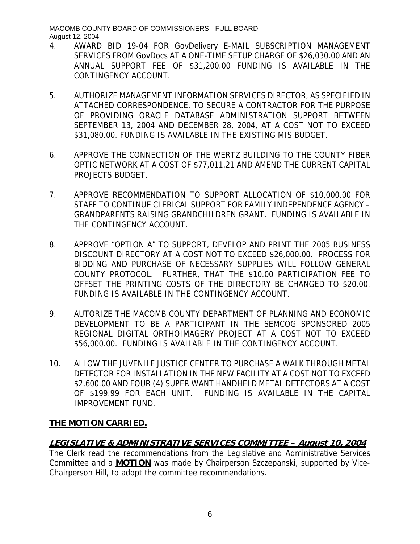- 4. AWARD BID 19-04 FOR GovDelivery E-MAIL SUBSCRIPTION MANAGEMENT SERVICES FROM GovDocs AT A ONE-TIME SETUP CHARGE OF \$26,030.00 AND AN ANNUAL SUPPORT FEE OF \$31,200.00 FUNDING IS AVAILABLE IN THE CONTINGENCY ACCOUNT.
- 5. AUTHORIZE MANAGEMENT INFORMATION SERVICES DIRECTOR, AS SPECIFIED IN ATTACHED CORRESPONDENCE, TO SECURE A CONTRACTOR FOR THE PURPOSE OF PROVIDING ORACLE DATABASE ADMINISTRATION SUPPORT BETWEEN SEPTEMBER 13, 2004 AND DECEMBER 28, 2004, AT A COST NOT TO EXCEED \$31,080.00. FUNDING IS AVAILABLE IN THE EXISTING MIS BUDGET.
- 6. APPROVE THE CONNECTION OF THE WERTZ BUILDING TO THE COUNTY FIBER OPTIC NETWORK AT A COST OF \$77,011.21 AND AMEND THE CURRENT CAPITAL PROJECTS BUDGET.
- 7. APPROVE RECOMMENDATION TO SUPPORT ALLOCATION OF \$10,000.00 FOR STAFF TO CONTINUE CLERICAL SUPPORT FOR FAMILY INDEPENDENCE AGENCY – GRANDPARENTS RAISING GRANDCHILDREN GRANT. FUNDING IS AVAILABLE IN THE CONTINGENCY ACCOUNT.
- 8. APPROVE "OPTION A" TO SUPPORT, DEVELOP AND PRINT THE 2005 BUSINESS DISCOUNT DIRECTORY AT A COST NOT TO EXCEED \$26,000.00. PROCESS FOR BIDDING AND PURCHASE OF NECESSARY SUPPLIES WILL FOLLOW GENERAL COUNTY PROTOCOL. FURTHER, THAT THE \$10.00 PARTICIPATION FEE TO OFFSET THE PRINTING COSTS OF THE DIRECTORY BE CHANGED TO \$20.00. FUNDING IS AVAILABLE IN THE CONTINGENCY ACCOUNT.
- 9. AUTORIZE THE MACOMB COUNTY DEPARTMENT OF PLANNING AND ECONOMIC DEVELOPMENT TO BE A PARTICIPANT IN THE SEMCOG SPONSORED 2005 REGIONAL DIGITAL ORTHOIMAGERY PROJECT AT A COST NOT TO EXCEED \$56,000.00. FUNDING IS AVAILABLE IN THE CONTINGENCY ACCOUNT.
- 10. ALLOW THE JUVENILE JUSTICE CENTER TO PURCHASE A WALK THROUGH METAL DETECTOR FOR INSTALLATION IN THE NEW FACILITY AT A COST NOT TO EXCEED \$2,600.00 AND FOUR (4) SUPER WANT HANDHELD METAL DETECTORS AT A COST OF \$199.99 FOR EACH UNIT. FUNDING IS AVAILABLE IN THE CAPITAL IMPROVEMENT FUND.

# **THE MOTION CARRIED.**

# **LEGISLATIVE & ADMINISTRATIVE SERVICES COMMITTEE – August 10, 2004**

The Clerk read the recommendations from the Legislative and Administrative Services Committee and a **MOTION** was made by Chairperson Szczepanski, supported by Vice-Chairperson Hill, to adopt the committee recommendations.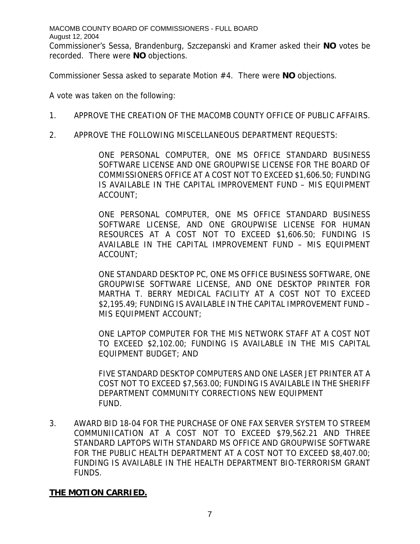MACOMB COUNTY BOARD OF COMMISSIONERS - FULL BOARD August 12, 2004 Commissioner's Sessa, Brandenburg, Szczepanski and Kramer asked their **NO** votes be recorded. There were **NO** objections.

Commissioner Sessa asked to separate Motion #4. There were **NO** objections.

A vote was taken on the following:

- 1. APPROVE THE CREATION OF THE MACOMB COUNTY OFFICE OF PUBLIC AFFAIRS.
- 2. APPROVE THE FOLLOWING MISCELLANEOUS DEPARTMENT REQUESTS:

ONE PERSONAL COMPUTER, ONE MS OFFICE STANDARD BUSINESS SOFTWARE LICENSE AND ONE GROUPWISE LICENSE FOR THE BOARD OF COMMISSIONERS OFFICE AT A COST NOT TO EXCEED \$1,606.50; FUNDING IS AVAILABLE IN THE CAPITAL IMPROVEMENT FUND – MIS EQUIPMENT ACCOUNT;

ONE PERSONAL COMPUTER, ONE MS OFFICE STANDARD BUSINESS SOFTWARE LICENSE, AND ONE GROUPWISE LICENSE FOR HUMAN RESOURCES AT A COST NOT TO EXCEED \$1,606.50; FUNDING IS AVAILABLE IN THE CAPITAL IMPROVEMENT FUND – MIS EQUIPMENT ACCOUNT;

ONE STANDARD DESKTOP PC, ONE MS OFFICE BUSINESS SOFTWARE, ONE GROUPWISE SOFTWARE LICENSE, AND ONE DESKTOP PRINTER FOR MARTHA T. BERRY MEDICAL FACILITY AT A COST NOT TO EXCEED \$2,195.49; FUNDING IS AVAILABLE IN THE CAPITAL IMPROVEMENT FUND – MIS EQUIPMENT ACCOUNT;

ONE LAPTOP COMPUTER FOR THE MIS NETWORK STAFF AT A COST NOT TO EXCEED \$2,102.00; FUNDING IS AVAILABLE IN THE MIS CAPITAL EQUIPMENT BUDGET; AND

FIVE STANDARD DESKTOP COMPUTERS AND ONE LASER JET PRINTER AT A COST NOT TO EXCEED \$7,563.00; FUNDING IS AVAILABLE IN THE SHERIFF DEPARTMENT COMMUNITY CORRECTIONS NEW EQUIPMENT FUND.

3. AWARD BID 18-04 FOR THE PURCHASE OF ONE FAX SERVER SYSTEM TO STREEM COMMUNIICATION AT A COST NOT TO EXCEED \$79,562.21 AND THREE STANDARD LAPTOPS WITH STANDARD MS OFFICE AND GROUPWISE SOFTWARE FOR THE PUBLIC HEALTH DEPARTMENT AT A COST NOT TO EXCEED \$8,407.00; FUNDING IS AVAILABLE IN THE HEALTH DEPARTMENT BIO-TERRORISM GRANT FUNDS.

### **THE MOTION CARRIED.**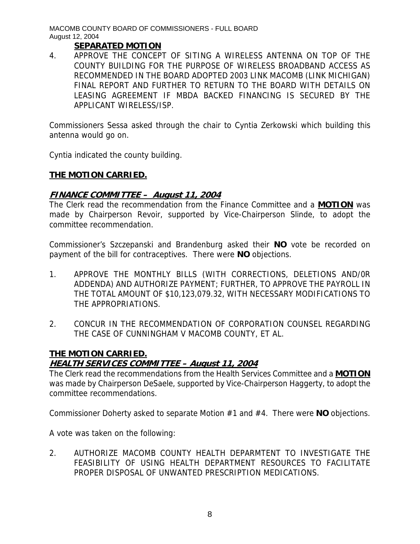### **SEPARATED MOTION**

4. APPROVE THE CONCEPT OF SITING A WIRELESS ANTENNA ON TOP OF THE COUNTY BUILDING FOR THE PURPOSE OF WIRELESS BROADBAND ACCESS AS RECOMMENDED IN THE BOARD ADOPTED 2003 LINK MACOMB (LINK MICHIGAN) FINAL REPORT AND FURTHER TO RETURN TO THE BOARD WITH DETAILS ON LEASING AGREEMENT IF MBDA BACKED FINANCING IS SECURED BY THE APPLICANT WIRELESS/ISP.

Commissioners Sessa asked through the chair to Cyntia Zerkowski which building this antenna would go on.

Cyntia indicated the county building.

### **THE MOTION CARRIED.**

### **FINANCE COMMITTEE – August 11, 2004**

The Clerk read the recommendation from the Finance Committee and a **MOTION** was made by Chairperson Revoir, supported by Vice-Chairperson Slinde, to adopt the committee recommendation.

Commissioner's Szczepanski and Brandenburg asked their **NO** vote be recorded on payment of the bill for contraceptives. There were **NO** objections.

- 1. APPROVE THE MONTHLY BILLS (WITH CORRECTIONS, DELETIONS AND/0R ADDENDA) AND AUTHORIZE PAYMENT; FURTHER, TO APPROVE THE PAYROLL IN THE TOTAL AMOUNT OF \$10,123,079.32, WITH NECESSARY MODIFICATIONS TO THE APPROPRIATIONS.
- 2. CONCUR IN THE RECOMMENDATION OF CORPORATION COUNSEL REGARDING THE CASE OF CUNNINGHAM V MACOMB COUNTY, ET AL.

### **THE MOTION CARRIED.**

### **HEALTH SERVICES COMMITTEE – August 11, 2004**

The Clerk read the recommendations from the Health Services Committee and a **MOTION** was made by Chairperson DeSaele, supported by Vice-Chairperson Haggerty, to adopt the committee recommendations.

Commissioner Doherty asked to separate Motion #1 and #4. There were **NO** objections.

A vote was taken on the following:

2. AUTHORIZE MACOMB COUNTY HEALTH DEPARMTENT TO INVESTIGATE THE FEASIBILITY OF USING HEALTH DEPARTMENT RESOURCES TO FACILITATE PROPER DISPOSAL OF UNWANTED PRESCRIPTION MEDICATIONS.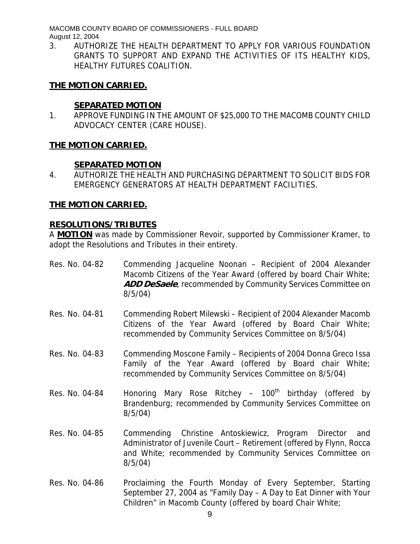3. AUTHORIZE THE HEALTH DEPARTMENT TO APPLY FOR VARIOUS FOUNDATION GRANTS TO SUPPORT AND EXPAND THE ACTIVITIES OF ITS HEALTHY KIDS, HEALTHY FUTURES COALITION.

### **THE MOTION CARRIED.**

### **SEPARATED MOTION**

1. APPROVE FUNDING IN THE AMOUNT OF \$25,000 TO THE MACOMB COUNTY CHILD ADVOCACY CENTER (CARE HOUSE).

### **THE MOTION CARRIED.**

### **SEPARATED MOTION**

4. AUTHORIZE THE HEALTH AND PURCHASING DEPARTMENT TO SOLICIT BIDS FOR EMERGENCY GENERATORS AT HEALTH DEPARTMENT FACILITIES.

#### **THE MOTION CARRIED.**

### **RESOLUTIONS/TRIBUTES**

A **MOTION** was made by Commissioner Revoir, supported by Commissioner Kramer, to adopt the Resolutions and Tributes in their entirety.

- Res. No. 04-82 Commending Jacqueline Noonan Recipient of 2004 Alexander Macomb Citizens of the Year Award (offered by board Chair White; **ADD DeSaele**, recommended by Community Services Committee on 8/5/04)
- Res. No. 04-81 Commending Robert Milewski Recipient of 2004 Alexander Macomb Citizens of the Year Award (offered by Board Chair White; recommended by Community Services Committee on 8/5/04)
- Res. No. 04-83 Commending Moscone Family Recipients of 2004 Donna Greco Issa Family of the Year Award (offered by Board chair White; recommended by Community Services Committee on 8/5/04)
- Res. No. 04-84 Honoring Mary Rose Ritchey  $100<sup>th</sup>$  birthday (offered by Brandenburg; recommended by Community Services Committee on 8/5/04)
- Res. No. 04-85 Commending Christine Antoskiewicz, Program Director and Administrator of Juvenile Court – Retirement (offered by Flynn, Rocca and White; recommended by Community Services Committee on 8/5/04)
- Res. No. 04-86 Proclaiming the Fourth Monday of Every September, Starting September 27, 2004 as "Family Day – A Day to Eat Dinner with Your Children" in Macomb County (offered by board Chair White;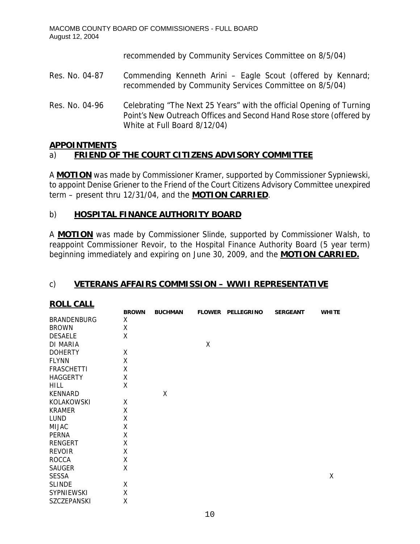recommended by Community Services Committee on 8/5/04)

- Res. No. 04-87 Commending Kenneth Arini Eagle Scout (offered by Kennard; recommended by Community Services Committee on 8/5/04)
- Res. No. 04-96 Celebrating "The Next 25 Years" with the official Opening of Turning Point's New Outreach Offices and Second Hand Rose store (offered by White at Full Board 8/12/04)

### **APPOINTMENTS**

# a) **FRIEND OF THE COURT CITIZENS ADVISORY COMMITTEE**

A **MOTION** was made by Commissioner Kramer, supported by Commissioner Sypniewski, to appoint Denise Griener to the Friend of the Court Citizens Advisory Committee unexpired term – present thru 12/31/04, and the **MOTION CARRIED**.

### b) **HOSPITAL FINANCE AUTHORITY BOARD**

A **MOTION** was made by Commissioner Slinde, supported by Commissioner Walsh, to reappoint Commissioner Revoir, to the Hospital Finance Authority Board (5 year term) beginning immediately and expiring on June 30, 2009, and the **MOTION CARRIED.**

### c) **VETERANS AFFAIRS COMMISSION – WWII REPRESENTATIVE**

| <b>BROWN</b> | <b>BUCHMAN</b> |   | <b>SERGEANT</b>   | <b>WHITE</b> |
|--------------|----------------|---|-------------------|--------------|
| X            |                |   |                   |              |
| X            |                |   |                   |              |
| X            |                |   |                   |              |
|              |                | Χ |                   |              |
| X            |                |   |                   |              |
| X            |                |   |                   |              |
| X            |                |   |                   |              |
| X            |                |   |                   |              |
| X            |                |   |                   |              |
|              | Χ              |   |                   |              |
| X            |                |   |                   |              |
| X            |                |   |                   |              |
| X            |                |   |                   |              |
| X            |                |   |                   |              |
| X            |                |   |                   |              |
| X            |                |   |                   |              |
| X            |                |   |                   |              |
| X            |                |   |                   |              |
| Χ            |                |   |                   |              |
|              |                |   |                   | Χ            |
| Χ            |                |   |                   |              |
| Χ            |                |   |                   |              |
| Χ            |                |   |                   |              |
|              |                |   | FLOWER PELLEGRINO |              |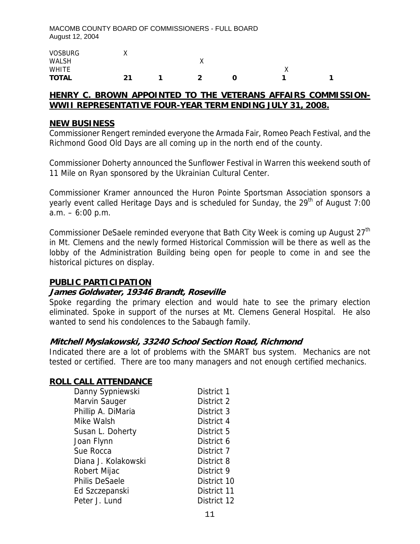| <b>VOSBURG</b> | $\cdots$ |   |          |  |
|----------------|----------|---|----------|--|
| <b>WALSH</b>   |          | ∧ |          |  |
| <b>WHITE</b>   |          |   | $\cdots$ |  |
| <b>TOTAL</b>   | 21       | ີ |          |  |

### **HENRY C. BROWN APPOINTED TO THE VETERANS AFFAIRS COMMISSION-WWII REPRESENTATIVE FOUR-YEAR TERM ENDING JULY 31, 2008.**

#### **NEW BUSINESS**

Commissioner Rengert reminded everyone the Armada Fair, Romeo Peach Festival, and the Richmond Good Old Days are all coming up in the north end of the county.

Commissioner Doherty announced the Sunflower Festival in Warren this weekend south of 11 Mile on Ryan sponsored by the Ukrainian Cultural Center.

Commissioner Kramer announced the Huron Pointe Sportsman Association sponsors a yearly event called Heritage Days and is scheduled for Sunday, the 29<sup>th</sup> of August 7:00  $a.m. - 6:00 p.m.$ 

Commissioner DeSaele reminded everyone that Bath City Week is coming up August 27<sup>th</sup> in Mt. Clemens and the newly formed Historical Commission will be there as well as the lobby of the Administration Building being open for people to come in and see the historical pictures on display.

### **PUBLIC PARTICIPATION**

### **James Goldwater, 19346 Brandt, Roseville**

Spoke regarding the primary election and would hate to see the primary election eliminated. Spoke in support of the nurses at Mt. Clemens General Hospital. He also wanted to send his condolences to the Sabaugh family.

### **Mitchell Myslakowski, 33240 School Section Road, Richmond**

Indicated there are a lot of problems with the SMART bus system. Mechanics are not tested or certified. There are too many managers and not enough certified mechanics.

### **ROLL CALL ATTENDANCE**

| Danny Sypniewski      | District 1  |
|-----------------------|-------------|
| Marvin Sauger         | District 2  |
| Phillip A. DiMaria    | District 3  |
| Mike Walsh            | District 4  |
| Susan L. Doherty      | District 5  |
| Joan Flynn            | District 6  |
| Sue Rocca             | District 7  |
| Diana J. Kolakowski   | District 8  |
| Robert Mijac          | District 9  |
| <b>Philis DeSaele</b> | District 10 |
| Ed Szczepanski        | District 11 |
| Peter J. Lund         | District 12 |